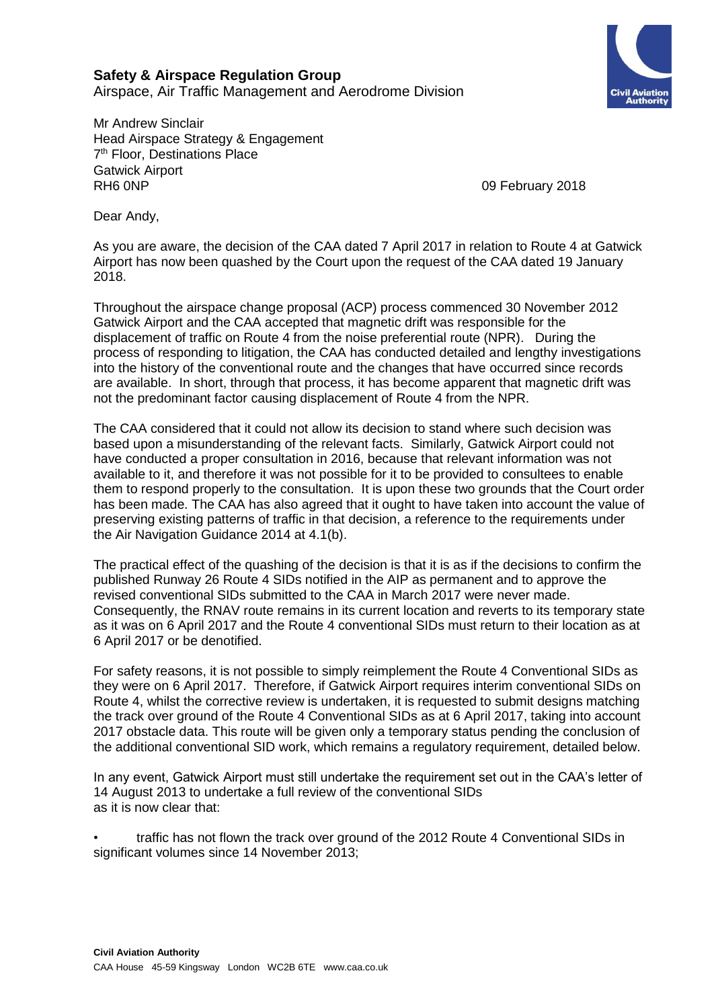## **Safety & Airspace Regulation Group**

Airspace, Air Traffic Management and Aerodrome Division

Mr Andrew Sinclair Head Airspace Strategy & Engagement 7<sup>th</sup> Floor, Destinations Place Gatwick Airport RH6 0NP 09 February 2018

Dear Andy,

As you are aware, the decision of the CAA dated 7 April 2017 in relation to Route 4 at Gatwick Airport has now been quashed by the Court upon the request of the CAA dated 19 January 2018.

Throughout the airspace change proposal (ACP) process commenced 30 November 2012 Gatwick Airport and the CAA accepted that magnetic drift was responsible for the displacement of traffic on Route 4 from the noise preferential route (NPR). During the process of responding to litigation, the CAA has conducted detailed and lengthy investigations into the history of the conventional route and the changes that have occurred since records are available. In short, through that process, it has become apparent that magnetic drift was not the predominant factor causing displacement of Route 4 from the NPR.

The CAA considered that it could not allow its decision to stand where such decision was based upon a misunderstanding of the relevant facts. Similarly, Gatwick Airport could not have conducted a proper consultation in 2016, because that relevant information was not available to it, and therefore it was not possible for it to be provided to consultees to enable them to respond properly to the consultation. It is upon these two grounds that the Court order has been made. The CAA has also agreed that it ought to have taken into account the value of preserving existing patterns of traffic in that decision, a reference to the requirements under the Air Navigation Guidance 2014 at 4.1(b).

The practical effect of the quashing of the decision is that it is as if the decisions to confirm the published Runway 26 Route 4 SIDs notified in the AIP as permanent and to approve the revised conventional SIDs submitted to the CAA in March 2017 were never made. Consequently, the RNAV route remains in its current location and reverts to its temporary state as it was on 6 April 2017 and the Route 4 conventional SIDs must return to their location as at 6 April 2017 or be denotified.

For safety reasons, it is not possible to simply reimplement the Route 4 Conventional SIDs as they were on 6 April 2017. Therefore, if Gatwick Airport requires interim conventional SIDs on Route 4, whilst the corrective review is undertaken, it is requested to submit designs matching the track over ground of the Route 4 Conventional SIDs as at 6 April 2017, taking into account 2017 obstacle data. This route will be given only a temporary status pending the conclusion of the additional conventional SID work, which remains a regulatory requirement, detailed below.

In any event, Gatwick Airport must still undertake the requirement set out in the CAA's letter of 14 August 2013 to undertake a full review of the conventional SIDs as it is now clear that:

• traffic has not flown the track over ground of the 2012 Route 4 Conventional SIDs in significant volumes since 14 November 2013;